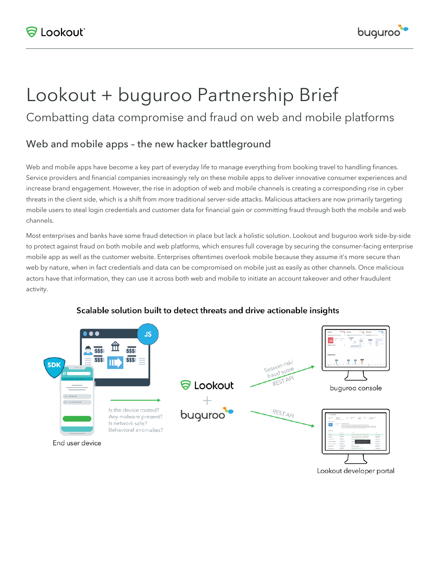

# Lookout + buguroo Partnership Brief

Combatting data compromise and fraud on web and mobile platforms

## Web and mobile apps – the new hacker battleground

Web and mobile apps have become a key part of everyday life to manage everything from booking travel to handling finances. Service providers and financial companies increasingly rely on these mobile apps to deliver innovative consumer experiences and increase brand engagement. However, the rise in adoption of web and mobile channels is creating a corresponding rise in cyber threats in the client side, which is a shift from more traditional server-side attacks. Malicious attackers are now primarily targeting mobile users to steal login credentials and customer data for financial gain or committing fraud through both the mobile and web channels.

Most enterprises and banks have some fraud detection in place but lack a holistic solution. Lookout and buguroo work side-by-side to protect against fraud on both mobile and web platforms, which ensures full coverage by securing the consumer-facing enterprise mobile app as well as the customer website. Enterprises oftentimes overlook mobile because they assume it's more secure than web by nature, when in fact credentials and data can be compromised on mobile just as easily as other channels. Once malicious actors have that information, they can use it across both web and mobile to initiate an account takeover and other fraudulent activity.



#### Scalable solution built to detect threats and drive actionable insights

Lookout developer portal